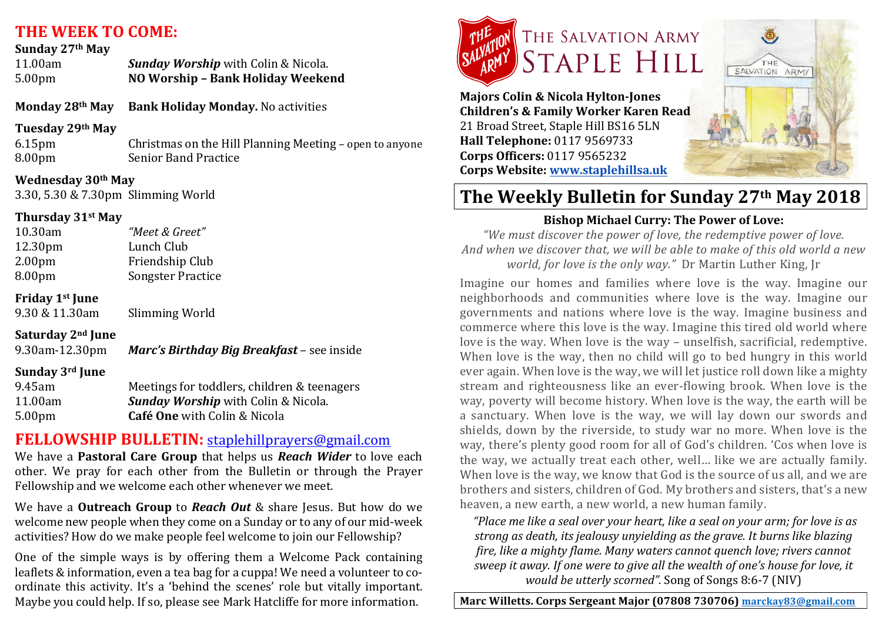# **THE WEEK TO COME:**

| Sunday 27th May    |                                            |
|--------------------|--------------------------------------------|
| 11.00am            | <b>Sunday Worship</b> with Colin & Nicola. |
| 5.00 <sub>pm</sub> | NO Worship - Bank Holiday Weekend          |

**Monday 28<sup>th</sup> May Bank Holiday Monday.** No activities

#### **Tuesday 29th May**

6.15pm Christmas on the Hill Planning Meeting – open to anyone 8.00pm Senior Band Practice

**Wednesday 30th May** 3.30, 5.30 & 7.30pm Slimming World

#### **Thursday 31st May**

| 10.30am            | "Meet & Greet"           |
|--------------------|--------------------------|
| 12.30pm            | Lunch Club               |
| 2.00 <sub>pm</sub> | Friendship Club          |
| 8.00pm             | <b>Songster Practice</b> |

## **Friday 1st June**

9.30 & 11.30am Slimming World

#### **Saturday 2nd June**

9.30am-12.30pm *Marc's Birthday Big Breakfast* – see inside

### **Sunday 3rd June**

| 9.45am             | Meetings for toddlers, children & teenagers |
|--------------------|---------------------------------------------|
| 11.00am            | <b>Sunday Worship</b> with Colin & Nicola.  |
| 5.00 <sub>pm</sub> | <b>Café One</b> with Colin & Nicola         |

## **FELLOWSHIP BULLETIN:** staplehillprayers@gmail.com

We have a **Pastoral Care Group** that helps us **Reach Wider** to love each other. We pray for each other from the Bulletin or through the Prayer Fellowship and we welcome each other whenever we meet.

We have a **Outreach Group** to **Reach Out** & share Jesus. But how do we welcome new people when they come on a Sunday or to any of our mid-week activities? How do we make people feel welcome to join our Fellowship?

One of the simple ways is by offering them a Welcome Pack containing leaflets & information, even a tea bag for a cuppa! We need a volunteer to coordinate this activity. It's a 'behind the scenes' role but vitally important. Maybe you could help. If so, please see Mark Hatcliffe for more information.



**Majors Colin & Nicola Hylton-Jones Children's & Family Worker Karen Read** 21 Broad Street, Staple Hill BS16 5LN **Hall Telephone:** 0117 9569733 **Corps Officers:** 0117 9565232 **Corps Website: www.staplehillsa.uk**



SALVATION ARMY

# The Weekly Bulletin for Sunday 27<sup>th</sup> May 2018

## **Bishop Michael Curry: The Power of Love:**

*"We must discover the power of love, the redemptive power of love.* And when we discover that, we will be able to make of this old world a new *world, for love is the only way.*" Dr Martin Luther King, Ir

Imagine our homes and families where love is the way. Imagine our neighborhoods and communities where love is the way. Imagine our governments and nations where love is the way. Imagine business and commerce where this love is the way. Imagine this tired old world where love is the way. When love is the way – unselfish, sacrificial, redemptive. When love is the way, then no child will go to bed hungry in this world ever again. When love is the way, we will let justice roll down like a mighty stream and righteousness like an ever-flowing brook. When love is the way, poverty will become history. When love is the way, the earth will be a sanctuary. When love is the way, we will lay down our swords and shields, down by the riverside, to study war no more. When love is the way, there's plenty good room for all of God's children. 'Cos when love is the way, we actually treat each other, well... like we are actually family. When love is the way, we know that God is the source of us all, and we are brothers and sisters, children of God. My brothers and sisters, that's a new heaven, a new earth, a new world, a new human family.

*"Place me like a seal over your heart, like a seal on your arm; for love is as strong* as death, its jealousy unyielding as the grave. It burns like blazing *fire, like a mighty flame. Many waters cannot quench love; rivers cannot sweep* it away. If one were to give all the wealth of one's house for love, it *would be utterly scorned".* Song of Songs 8:6-7 (NIV)

**Marc Willetts. Corps Sergeant Major (07808 730706) marckay83@gmail.com**